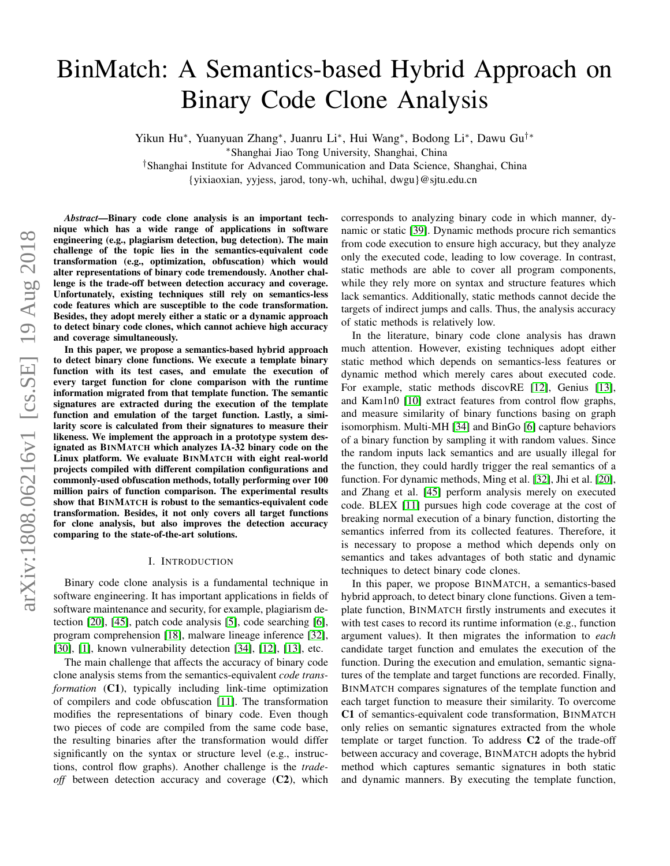# BinMatch: A Semantics-based Hybrid Approach on Binary Code Clone Analysis

Yikun Hu<sup>∗</sup>, Yuanyuan Zhang<sup>∗</sup>, Juanru Li<sup>∗</sup>, Hui Wang<sup>∗</sup>, Bodong Li<sup>∗</sup>, Dawu Gu<sup>†</sup>\*

<sup>∗</sup>Shanghai Jiao Tong University, Shanghai, China

†Shanghai Institute for Advanced Communication and Data Science, Shanghai, China

{yixiaoxian, yyjess, jarod, tony-wh, uchihal, dwgu}@sjtu.edu.cn

*Abstract*—Binary code clone analysis is an important technique which has a wide range of applications in software engineering (e.g., plagiarism detection, bug detection). The main challenge of the topic lies in the semantics-equivalent code transformation (e.g., optimization, obfuscation) which would alter representations of binary code tremendously. Another challenge is the trade-off between detection accuracy and coverage. Unfortunately, existing techniques still rely on semantics-less code features which are susceptible to the code transformation. Besides, they adopt merely either a static or a dynamic approach to detect binary code clones, which cannot achieve high accuracy and coverage simultaneously.

In this paper, we propose a semantics-based hybrid approach to detect binary clone functions. We execute a template binary function with its test cases, and emulate the execution of every target function for clone comparison with the runtime information migrated from that template function. The semantic signatures are extracted during the execution of the template function and emulation of the target function. Lastly, a similarity score is calculated from their signatures to measure their likeness. We implement the approach in a prototype system designated as BINMATCH which analyzes IA-32 binary code on the Linux platform. We evaluate BINMATCH with eight real-world projects compiled with different compilation configurations and commonly-used obfuscation methods, totally performing over 100 million pairs of function comparison. The experimental results show that BINMATCH is robust to the semantics-equivalent code transformation. Besides, it not only covers all target functions for clone analysis, but also improves the detection accuracy comparing to the state-of-the-art solutions.

#### I. INTRODUCTION

Binary code clone analysis is a fundamental technique in software engineering. It has important applications in fields of software maintenance and security, for example, plagiarism detection [\[20\]](#page-10-0), [\[45\]](#page-10-1), patch code analysis [\[5\]](#page-9-0), code searching [\[6\]](#page-9-1), program comprehension [\[18\]](#page-10-2), malware lineage inference [\[32\]](#page-10-3), [\[30\]](#page-10-4), [\[1\]](#page-9-2), known vulnerability detection [\[34\]](#page-10-5), [\[12\]](#page-9-3), [\[13\]](#page-9-4), etc.

The main challenge that affects the accuracy of binary code clone analysis stems from the semantics-equivalent *code transformation* (C1), typically including link-time optimization of compilers and code obfuscation [\[11\]](#page-9-5). The transformation modifies the representations of binary code. Even though two pieces of code are compiled from the same code base, the resulting binaries after the transformation would differ significantly on the syntax or structure level (e.g., instructions, control flow graphs). Another challenge is the *tradeoff* between detection accuracy and coverage (C2), which corresponds to analyzing binary code in which manner, dynamic or static [\[39\]](#page-10-6). Dynamic methods procure rich semantics from code execution to ensure high accuracy, but they analyze only the executed code, leading to low coverage. In contrast, static methods are able to cover all program components, while they rely more on syntax and structure features which lack semantics. Additionally, static methods cannot decide the targets of indirect jumps and calls. Thus, the analysis accuracy of static methods is relatively low.

In the literature, binary code clone analysis has drawn much attention. However, existing techniques adopt either static method which depends on semantics-less features or dynamic method which merely cares about executed code. For example, static methods discovRE [\[12\]](#page-9-3), Genius [\[13\]](#page-9-4), and Kam1n0 [\[10\]](#page-9-6) extract features from control flow graphs, and measure similarity of binary functions basing on graph isomorphism. Multi-MH [\[34\]](#page-10-5) and BinGo [\[6\]](#page-9-1) capture behaviors of a binary function by sampling it with random values. Since the random inputs lack semantics and are usually illegal for the function, they could hardly trigger the real semantics of a function. For dynamic methods, Ming et al. [\[32\]](#page-10-3), Jhi et al. [\[20\]](#page-10-0), and Zhang et al. [\[45\]](#page-10-1) perform analysis merely on executed code. BLEX [\[11\]](#page-9-5) pursues high code coverage at the cost of breaking normal execution of a binary function, distorting the semantics inferred from its collected features. Therefore, it is necessary to propose a method which depends only on semantics and takes advantages of both static and dynamic techniques to detect binary code clones.

In this paper, we propose BINMATCH, a semantics-based hybrid approach, to detect binary clone functions. Given a template function, BINMATCH firstly instruments and executes it with test cases to record its runtime information (e.g., function argument values). It then migrates the information to *each* candidate target function and emulates the execution of the function. During the execution and emulation, semantic signatures of the template and target functions are recorded. Finally, BINMATCH compares signatures of the template function and each target function to measure their similarity. To overcome C1 of semantics-equivalent code transformation, BINMATCH only relies on semantic signatures extracted from the whole template or target function. To address C2 of the trade-off between accuracy and coverage, BINMATCH adopts the hybrid method which captures semantic signatures in both static and dynamic manners. By executing the template function,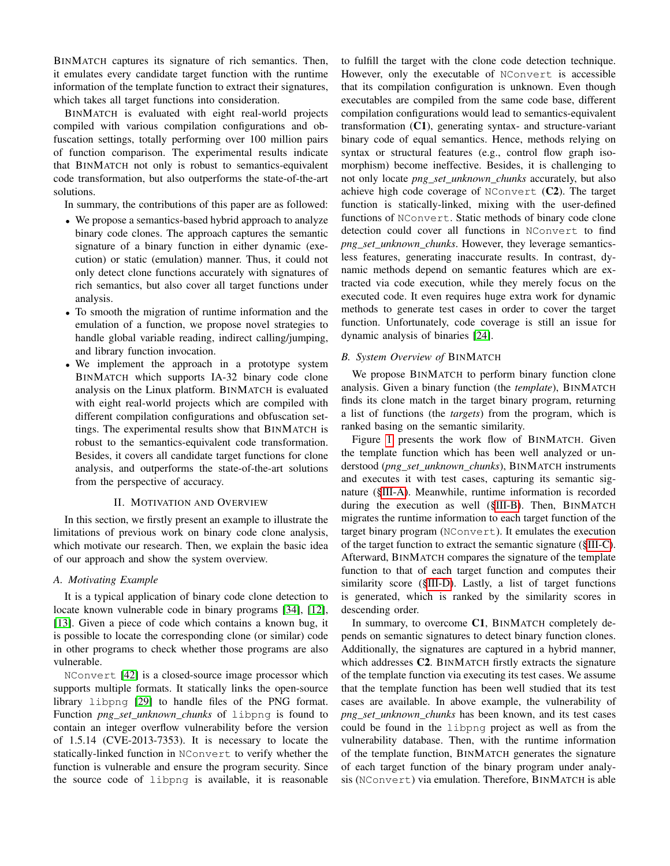BINMATCH captures its signature of rich semantics. Then, it emulates every candidate target function with the runtime information of the template function to extract their signatures, which takes all target functions into consideration.

BINMATCH is evaluated with eight real-world projects compiled with various compilation configurations and obfuscation settings, totally performing over 100 million pairs of function comparison. The experimental results indicate that BINMATCH not only is robust to semantics-equivalent code transformation, but also outperforms the state-of-the-art solutions.

In summary, the contributions of this paper are as followed:

- We propose a semantics-based hybrid approach to analyze binary code clones. The approach captures the semantic signature of a binary function in either dynamic (execution) or static (emulation) manner. Thus, it could not only detect clone functions accurately with signatures of rich semantics, but also cover all target functions under analysis.
- To smooth the migration of runtime information and the emulation of a function, we propose novel strategies to handle global variable reading, indirect calling/jumping, and library function invocation.
- We implement the approach in a prototype system BINMATCH which supports IA-32 binary code clone analysis on the Linux platform. BINMATCH is evaluated with eight real-world projects which are compiled with different compilation configurations and obfuscation settings. The experimental results show that BINMATCH is robust to the semantics-equivalent code transformation. Besides, it covers all candidate target functions for clone analysis, and outperforms the state-of-the-art solutions from the perspective of accuracy.

## II. MOTIVATION AND OVERVIEW

In this section, we firstly present an example to illustrate the limitations of previous work on binary code clone analysis, which motivate our research. Then, we explain the basic idea of our approach and show the system overview.

## <span id="page-1-0"></span>*A. Motivating Example*

It is a typical application of binary code clone detection to locate known vulnerable code in binary programs [\[34\]](#page-10-5), [\[12\]](#page-9-3), [\[13\]](#page-9-4). Given a piece of code which contains a known bug, it is possible to locate the corresponding clone (or similar) code in other programs to check whether those programs are also vulnerable.

NConvert [\[42\]](#page-10-7) is a closed-source image processor which supports multiple formats. It statically links the open-source library libpng [\[29\]](#page-10-8) to handle files of the PNG format. Function *png\_set\_unknown\_chunks* of libpng is found to contain an integer overflow vulnerability before the version of 1.5.14 (CVE-2013-7353). It is necessary to locate the statically-linked function in NConvert to verify whether the function is vulnerable and ensure the program security. Since the source code of libpng is available, it is reasonable

to fulfill the target with the clone code detection technique. However, only the executable of NConvert is accessible that its compilation configuration is unknown. Even though executables are compiled from the same code base, different compilation configurations would lead to semantics-equivalent transformation (C1), generating syntax- and structure-variant binary code of equal semantics. Hence, methods relying on syntax or structural features (e.g., control flow graph isomorphism) become ineffective. Besides, it is challenging to not only locate *png\_set\_unknown\_chunks* accurately, but also achieve high code coverage of NConvert (C2). The target function is statically-linked, mixing with the user-defined functions of NConvert. Static methods of binary code clone detection could cover all functions in NConvert to find *png\_set\_unknown\_chunks*. However, they leverage semanticsless features, generating inaccurate results. In contrast, dynamic methods depend on semantic features which are extracted via code execution, while they merely focus on the executed code. It even requires huge extra work for dynamic methods to generate test cases in order to cover the target function. Unfortunately, code coverage is still an issue for dynamic analysis of binaries [\[24\]](#page-10-9).

#### *B. System Overview of* BINMATCH

We propose BINMATCH to perform binary function clone analysis. Given a binary function (the *template*), BINMATCH finds its clone match in the target binary program, returning a list of functions (the *targets*) from the program, which is ranked basing on the semantic similarity.

Figure [1](#page-2-0) presents the work flow of BINMATCH. Given the template function which has been well analyzed or understood (*png\_set\_unknown\_chunks*), BINMATCH instruments and executes it with test cases, capturing its semantic signature ([§III-A\)](#page-2-1). Meanwhile, runtime information is recorded during the execution as well ([§III-B\)](#page-2-2). Then, BINMATCH migrates the runtime information to each target function of the target binary program (NConvert). It emulates the execution of the target function to extract the semantic signature ([§III-C\)](#page-2-3). Afterward, BINMATCH compares the signature of the template function to that of each target function and computes their similarity score ([§III-D\)](#page-4-0). Lastly, a list of target functions is generated, which is ranked by the similarity scores in descending order.

In summary, to overcome C1, BINMATCH completely depends on semantic signatures to detect binary function clones. Additionally, the signatures are captured in a hybrid manner, which addresses C2. BINMATCH firstly extracts the signature of the template function via executing its test cases. We assume that the template function has been well studied that its test cases are available. In above example, the vulnerability of *png\_set\_unknown\_chunks* has been known, and its test cases could be found in the libpng project as well as from the vulnerability database. Then, with the runtime information of the template function, BINMATCH generates the signature of each target function of the binary program under analysis (NConvert) via emulation. Therefore, BINMATCH is able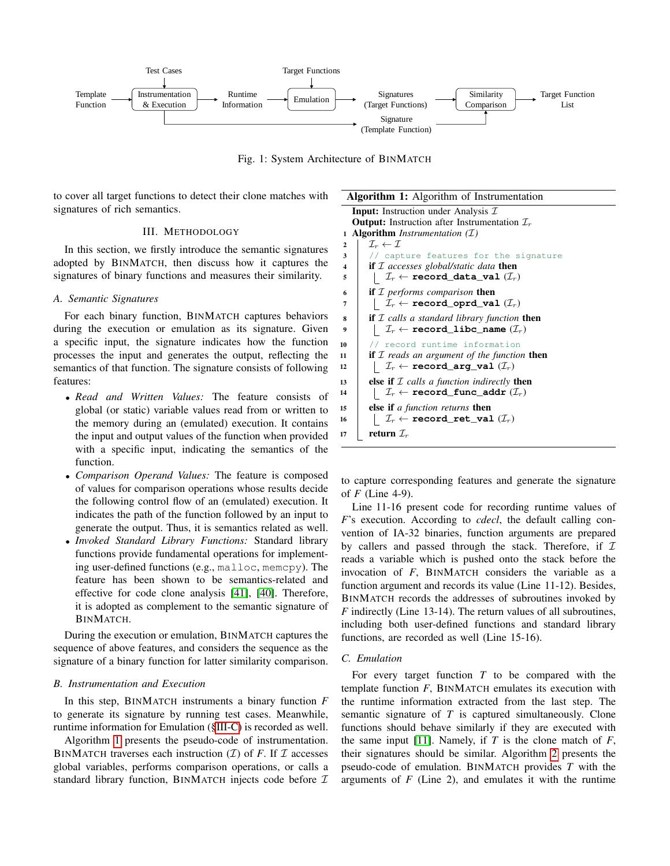<span id="page-2-0"></span>

Fig. 1: System Architecture of BINMATCH

to cover all target functions to detect their clone matches with signatures of rich semantics.

# III. METHODOLOGY

In this section, we firstly introduce the semantic signatures adopted by BINMATCH, then discuss how it captures the signatures of binary functions and measures their similarity.

#### <span id="page-2-1"></span>*A. Semantic Signatures*

For each binary function, BINMATCH captures behaviors during the execution or emulation as its signature. Given a specific input, the signature indicates how the function processes the input and generates the output, reflecting the semantics of that function. The signature consists of following features:

- *Read and Written Values:* The feature consists of global (or static) variable values read from or written to the memory during an (emulated) execution. It contains the input and output values of the function when provided with a specific input, indicating the semantics of the function.
- *Comparison Operand Values:* The feature is composed of values for comparison operations whose results decide the following control flow of an (emulated) execution. It indicates the path of the function followed by an input to generate the output. Thus, it is semantics related as well.
- *Invoked Standard Library Functions:* Standard library functions provide fundamental operations for implementing user-defined functions (e.g., malloc, memcpy). The feature has been shown to be semantics-related and effective for code clone analysis [\[41\]](#page-10-10), [\[40\]](#page-10-11). Therefore, it is adopted as complement to the semantic signature of BINMATCH.

During the execution or emulation, BINMATCH captures the sequence of above features, and considers the sequence as the signature of a binary function for latter similarity comparison.

# <span id="page-2-2"></span>*B. Instrumentation and Execution*

In this step, BINMATCH instruments a binary function *F* to generate its signature by running test cases. Meanwhile, runtime information for Emulation ([§III-C\)](#page-2-3) is recorded as well.

Algorithm [1](#page-2-4) presents the pseudo-code of instrumentation. BINMATCH traverses each instruction  $(\mathcal{I})$  of *F*. If  $\mathcal I$  accesses global variables, performs comparison operations, or calls a standard library function, BINMATCH injects code before  $I$ 

<span id="page-2-4"></span>Algorithm 1: Algorithm of Instrumentation **Input:** Instruction under Analysis  $I$ **Output:** Instruction after Instrumentation  $\mathcal{I}_r$ <sup>1</sup> Algorithm *Instrumentation (*I*)* 2 |  $\mathcal{I}_r \leftarrow \mathcal{I}$ 3 | // capture features for the signature <sup>4</sup> if I *accesses global/static data* then 5  $\left| \right|$   $\mathcal{I}_r \leftarrow \texttt{record\_data\_val} \ (\mathcal{I}_r)$ <sup>6</sup> if I *performs comparison* then  $7 \mid \bigcup \mathcal{I}_r \leftarrow \texttt{record\_optd\_val} \; (\mathcal{I}_r)$ <sup>8</sup> if I *calls a standard library function* then 9  $\vert \quad \vert \quad \mathcal{I}_r \leftarrow \texttt{record\_libc\_name} \ (\mathcal{I}_r)$ 10 // record runtime information <sup>11</sup> if I *reads an argument of the function* then 12  $\left| \right|$   $\mathcal{I}_r \leftarrow \texttt{record\_arg\_val} \ (\mathcal{I}_r)$ <sup>13</sup> else if I *calls a function indirectly* then 14 |  $I_r \leftarrow \texttt{record\_func\_addr} (I_r)$ <sup>15</sup> else if *a function returns* then 16 |  $\mathcal{I}_r \leftarrow \texttt{record\_ret\_val} \ (\mathcal{I}_r)$ 17 **return**  $\mathcal{I}_r$ 

to capture corresponding features and generate the signature of *F* (Line 4-9).

Line 11-16 present code for recording runtime values of *F*'s execution. According to *cdecl*, the default calling convention of IA-32 binaries, function arguments are prepared by callers and passed through the stack. Therefore, if  $I$ reads a variable which is pushed onto the stack before the invocation of *F*, BINMATCH considers the variable as a function argument and records its value (Line 11-12). Besides, BINMATCH records the addresses of subroutines invoked by *F* indirectly (Line 13-14). The return values of all subroutines, including both user-defined functions and standard library functions, are recorded as well (Line 15-16).

# <span id="page-2-3"></span>*C. Emulation*

For every target function *T* to be compared with the template function *F*, BINMATCH emulates its execution with the runtime information extracted from the last step. The semantic signature of *T* is captured simultaneously. Clone functions should behave similarly if they are executed with the same input [\[11\]](#page-9-5). Namely, if *T* is the clone match of *F*, their signatures should be similar. Algorithm [2](#page-3-0) presents the pseudo-code of emulation. BINMATCH provides *T* with the arguments of *F* (Line 2), and emulates it with the runtime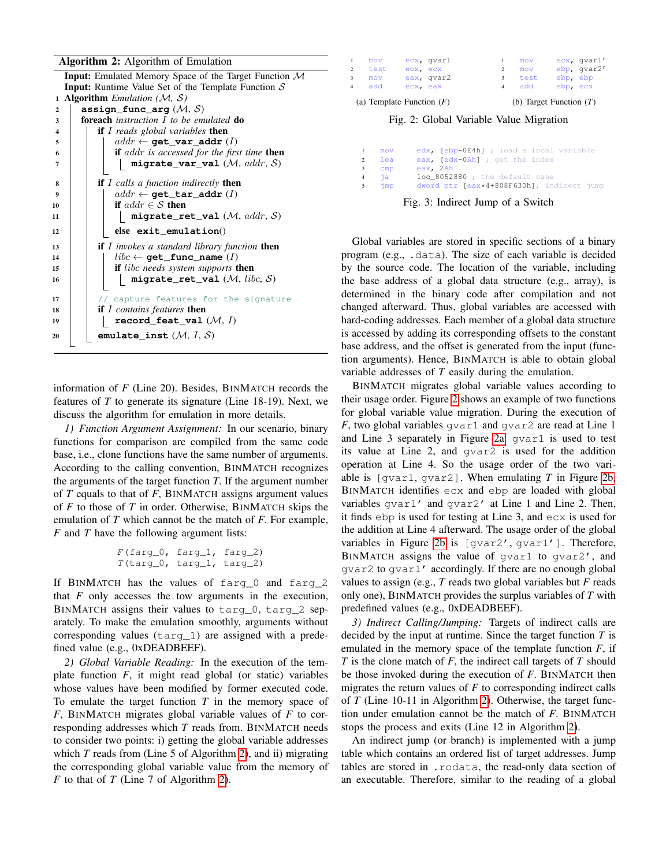# Algorithm 2: Algorithm of Emulation

<span id="page-3-0"></span>

|                         | <b>Input:</b> Emulated Memory Space of the Target Function $M$ |
|-------------------------|----------------------------------------------------------------|
|                         | <b>Input:</b> Runtime Value Set of the Template Function $S$   |
| $\mathbf{1}$            | <b>Algorithm</b> <i>Emulation</i> ( <i>M, S</i> )              |
| $\overline{2}$          | assign_func_arg $(\mathcal{M}, \mathcal{S})$                   |
| 3                       | <b>foreach</b> instruction $I$ to be emulated <b>do</b>        |
| $\overline{\mathbf{4}}$ | <b>if</b> I reads global variables <b>then</b>                 |
| 5                       | $addr \leftarrow \texttt{get\_var\_addr}(I)$                   |
| 6                       | <b>if</b> addr is accessed for the first time <b>then</b>      |
| 7                       | migrate_var_val $(M, \,addr, S)$                               |
| 8                       | <b>if</b> I calls a function indirectly <b>then</b>            |
| $\boldsymbol{9}$        | $addr \leftarrow$ qet_tar_addr(I)                              |
| 10                      | if $addr \in S$ then                                           |
| 11                      | migrate ret val $(\mathcal{M}, \text{addr}, \mathcal{S})$      |
| 12                      | $else$ exit emulation $()$                                     |
| 13                      | <b>if</b> $I$ invokes a standard library function <b>then</b>  |
| 14                      | $libc \leftarrow \texttt{qet\_func\_name}(I)$                  |
| 15                      | <b>if</b> libc needs system supports <b>then</b>               |
| 16                      | $migrate\_ret\_val$ $(\mathcal{M}, \text{}libc, \mathcal{S})$  |
| 17                      | // capture features for the signature                          |
| 18                      | if $I$ contains features then                                  |
| 19                      | record_feat_val $(\mathcal{M}, I)$                             |
| 20                      | emulate_inst $(\mathcal{M}, I, \mathcal{S})$                   |
|                         |                                                                |

information of *F* (Line 20). Besides, BINMATCH records the features of *T* to generate its signature (Line 18-19). Next, we discuss the algorithm for emulation in more details.

*1) Function Argument Assignment:* In our scenario, binary functions for comparison are compiled from the same code base, i.e., clone functions have the same number of arguments. According to the calling convention, BINMATCH recognizes the arguments of the target function *T*. If the argument number of *T* equals to that of *F*, BINMATCH assigns argument values of *F* to those of *T* in order. Otherwise, BINMATCH skips the emulation of *T* which cannot be the match of *F*. For example, *F* and *T* have the following argument lists:

```
F(farg_0, farg_1, farg_2)T(targ_0, targ_1, targ_2)
```
If BINMATCH has the values of farg\_0 and farg\_2 that *F* only accesses the tow arguments in the execution, BINMATCH assigns their values to targ 0, targ 2 separately. To make the emulation smoothly, arguments without corresponding values (targ\_1) are assigned with a predefined value (e.g., 0xDEADBEEF).

*2) Global Variable Reading:* In the execution of the template function *F*, it might read global (or static) variables whose values have been modified by former executed code. To emulate the target function *T* in the memory space of *F*, BINMATCH migrates global variable values of *F* to corresponding addresses which *T* reads from. BINMATCH needs to consider two points: i) getting the global variable addresses which *T* reads from (Line 5 of Algorithm [2\)](#page-3-0), and ii) migrating the corresponding global variable value from the memory of *F* to that of *T* (Line 7 of Algorithm [2\)](#page-3-0).

<span id="page-3-2"></span><span id="page-3-1"></span>

| 1<br>2                           | mov<br>test                                              | ecx ecx  | ecx, qvarl | 2      | mov<br>mov  |                      | ecx, qvarl'<br>ebp, qvar2' |
|----------------------------------|----------------------------------------------------------|----------|------------|--------|-------------|----------------------|----------------------------|
| $\overline{3}$<br>$\overline{4}$ | mov<br>add                                               | ecx, eax | eax, gvar2 | 3<br>4 | test<br>add | ebp, ebp<br>ebp, ecx |                            |
|                                  | (a) Template Function $(F)$<br>(b) Target Function $(T)$ |          |            |        |             |                      |                            |

<span id="page-3-3"></span>Fig. 2: Global Variable Value Migration

<span id="page-3-4"></span>

| $\mathbf{1}$ | mov               | edx, [ebp-0E4h] ; load a local variable   |
|--------------|-------------------|-------------------------------------------|
| 2            | lea               | eax, [edx-0Ah] ; get the index            |
| $3^{\circ}$  | cmp               | eax, 2Ah                                  |
|              | $4 \overline{1}a$ | loc 8052880 ; the default case            |
| 5            | $\lim p$          | dword ptr [eax*4+808F630h]; indirect jump |

Fig. 3: Indirect Jump of a Switch

Global variables are stored in specific sections of a binary program (e.g., .data). The size of each variable is decided by the source code. The location of the variable, including the base address of a global data structure (e.g., array), is determined in the binary code after compilation and not changed afterward. Thus, global variables are accessed with hard-coding addresses. Each member of a global data structure is accessed by adding its corresponding offsets to the constant base address, and the offset is generated from the input (function arguments). Hence, BINMATCH is able to obtain global variable addresses of *T* easily during the emulation.

BINMATCH migrates global variable values according to their usage order. Figure [2](#page-3-1) shows an example of two functions for global variable value migration. During the execution of  $F$ , two global variables gvar1 and gvar2 are read at Line 1 and Line 3 separately in Figure [2a.](#page-3-2) gvar1 is used to test its value at Line 2, and gvar2 is used for the addition operation at Line 4. So the usage order of the two variable is [gvar1, gvar2]. When emulating *T* in Figure [2b,](#page-3-3) BINMATCH identifies ecx and ebp are loaded with global variables gvar1' and gvar2' at Line 1 and Line 2. Then, it finds ebp is used for testing at Line 3, and ecx is used for the addition at Line 4 afterward. The usage order of the global variables in Figure [2b](#page-3-3) is [gvar2', gvar1']. Therefore, BINMATCH assigns the value of qvar1 to qvar2', and gvar2 to gvar1' accordingly. If there are no enough global values to assign (e.g., *T* reads two global variables but *F* reads only one), BINMATCH provides the surplus variables of *T* with predefined values (e.g., 0xDEADBEEF).

*3) Indirect Calling/Jumping:* Targets of indirect calls are decided by the input at runtime. Since the target function *T* is emulated in the memory space of the template function *F*, if *T* is the clone match of *F*, the indirect call targets of *T* should be those invoked during the execution of *F*. BINMATCH then migrates the return values of  $F$  to corresponding indirect calls of *T* (Line 10-11 in Algorithm [2\)](#page-3-0). Otherwise, the target function under emulation cannot be the match of *F*. BINMATCH stops the process and exits (Line 12 in Algorithm [2\)](#page-3-0).

An indirect jump (or branch) is implemented with a jump table which contains an ordered list of target addresses. Jump tables are stored in .rodata, the read-only data section of an executable. Therefore, similar to the reading of a global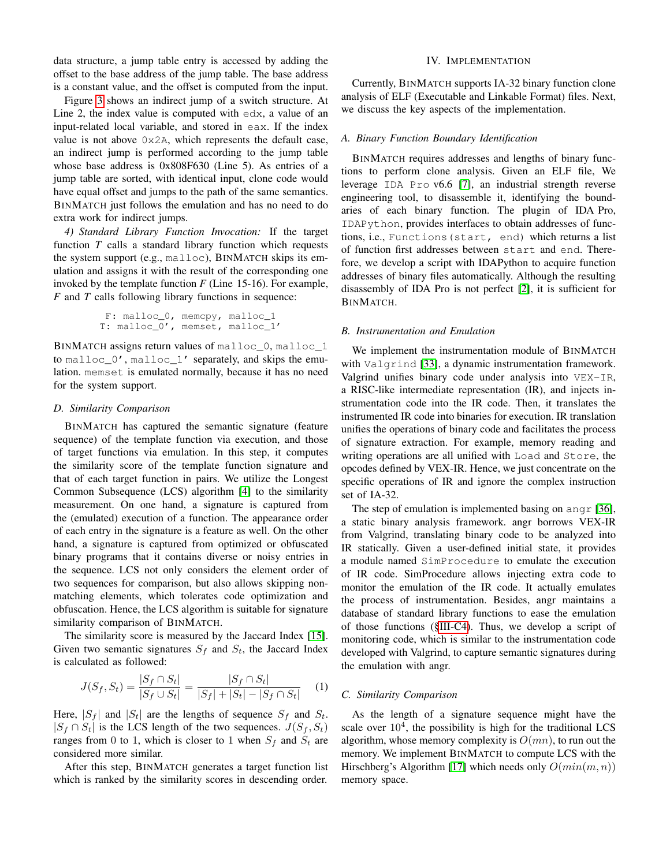data structure, a jump table entry is accessed by adding the offset to the base address of the jump table. The base address is a constant value, and the offset is computed from the input.

Figure [3](#page-3-4) shows an indirect jump of a switch structure. At Line 2, the index value is computed with edx, a value of an input-related local variable, and stored in eax. If the index value is not above 0x2A, which represents the default case, an indirect jump is performed according to the jump table whose base address is 0x808F630 (Line 5). As entries of a jump table are sorted, with identical input, clone code would have equal offset and jumps to the path of the same semantics. BINMATCH just follows the emulation and has no need to do extra work for indirect jumps.

<span id="page-4-1"></span>*4) Standard Library Function Invocation:* If the target function *T* calls a standard library function which requests the system support (e.g., malloc), BINMATCH skips its emulation and assigns it with the result of the corresponding one invoked by the template function *F* (Line 15-16). For example, *F* and *T* calls following library functions in sequence:

```
F: malloc_0, memcpy, malloc_1
T: malloc_0', memset, malloc_1'
```
BINMATCH assigns return values of malloc 0, malloc 1 to malloc\_0', malloc\_1' separately, and skips the emulation. memset is emulated normally, because it has no need for the system support.

#### <span id="page-4-0"></span>*D. Similarity Comparison*

BINMATCH has captured the semantic signature (feature sequence) of the template function via execution, and those of target functions via emulation. In this step, it computes the similarity score of the template function signature and that of each target function in pairs. We utilize the Longest Common Subsequence (LCS) algorithm [\[4\]](#page-9-7) to the similarity measurement. On one hand, a signature is captured from the (emulated) execution of a function. The appearance order of each entry in the signature is a feature as well. On the other hand, a signature is captured from optimized or obfuscated binary programs that it contains diverse or noisy entries in the sequence. LCS not only considers the element order of two sequences for comparison, but also allows skipping nonmatching elements, which tolerates code optimization and obfuscation. Hence, the LCS algorithm is suitable for signature similarity comparison of BINMATCH.

The similarity score is measured by the Jaccard Index [\[15\]](#page-9-8). Given two semantic signatures  $S_f$  and  $S_t$ , the Jaccard Index is calculated as followed:

$$
J(S_f, S_t) = \frac{|S_f \cap S_t|}{|S_f \cup S_t|} = \frac{|S_f \cap S_t|}{|S_f| + |S_t| - |S_f \cap S_t|}
$$
 (1)

Here,  $|S_f|$  and  $|S_t|$  are the lengths of sequence  $S_f$  and  $S_t$ .  $|S_f \cap S_t|$  is the LCS length of the two sequences.  $J(S_f, S_t)$ ranges from 0 to 1, which is closer to 1 when  $S_f$  and  $S_t$  are considered more similar.

After this step, BINMATCH generates a target function list which is ranked by the similarity scores in descending order.

## IV. IMPLEMENTATION

Currently, BINMATCH supports IA-32 binary function clone analysis of ELF (Executable and Linkable Format) files. Next, we discuss the key aspects of the implementation.

## *A. Binary Function Boundary Identification*

BINMATCH requires addresses and lengths of binary functions to perform clone analysis. Given an ELF file, We leverage IDA Pro v6.6 [\[7\]](#page-9-9), an industrial strength reverse engineering tool, to disassemble it, identifying the boundaries of each binary function. The plugin of IDA Pro, IDAPython, provides interfaces to obtain addresses of functions, i.e., Functions(start, end) which returns a list of function first addresses between start and end. Therefore, we develop a script with IDAPython to acquire function addresses of binary files automatically. Although the resulting disassembly of IDA Pro is not perfect [\[2\]](#page-9-10), it is sufficient for BINMATCH.

## <span id="page-4-2"></span>*B. Instrumentation and Emulation*

We implement the instrumentation module of BINMATCH with Valgrind [\[33\]](#page-10-12), a dynamic instrumentation framework. Valgrind unifies binary code under analysis into VEX-IR, a RISC-like intermediate representation (IR), and injects instrumentation code into the IR code. Then, it translates the instrumented IR code into binaries for execution. IR translation unifies the operations of binary code and facilitates the process of signature extraction. For example, memory reading and writing operations are all unified with Load and Store, the opcodes defined by VEX-IR. Hence, we just concentrate on the specific operations of IR and ignore the complex instruction set of IA-32.

The step of emulation is implemented basing on angr [\[36\]](#page-10-13), a static binary analysis framework. angr borrows VEX-IR from Valgrind, translating binary code to be analyzed into IR statically. Given a user-defined initial state, it provides a module named SimProcedure to emulate the execution of IR code. SimProcedure allows injecting extra code to monitor the emulation of the IR code. It actually emulates the process of instrumentation. Besides, angr maintains a database of standard library functions to ease the emulation of those functions ([§III-C4\)](#page-4-1). Thus, we develop a script of monitoring code, which is similar to the instrumentation code developed with Valgrind, to capture semantic signatures during the emulation with angr.

## *C. Similarity Comparison*

As the length of a signature sequence might have the scale over  $10<sup>4</sup>$ , the possibility is high for the traditional LCS algorithm, whose memory complexity is  $O(mn)$ , to run out the memory. We implement BINMATCH to compute LCS with the Hirschberg's Algorithm [\[17\]](#page-10-14) which needs only  $O(min(m, n))$ memory space.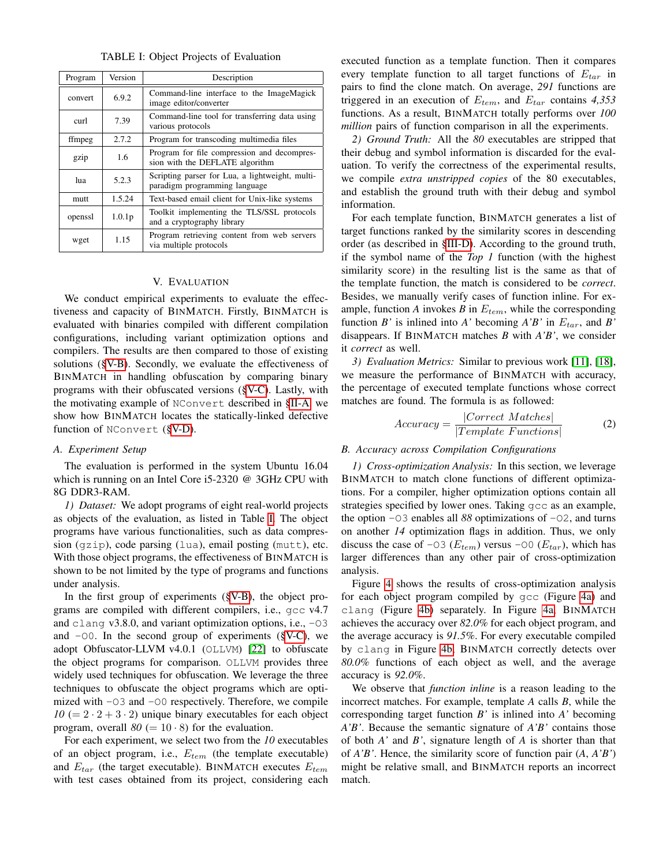TABLE I: Object Projects of Evaluation

<span id="page-5-1"></span>

| Program                           | Version            | Description                                                                      |
|-----------------------------------|--------------------|----------------------------------------------------------------------------------|
| convert                           | 6.9.2              | Command-line interface to the ImageMagick<br>image editor/converter              |
| 7.39<br>curl<br>various protocols |                    | Command-line tool for transferring data using                                    |
| ffmpeg                            | 2.7.2              | Program for transcoding multimedia files                                         |
| gzip                              | 1.6                | Program for file compression and decompres-<br>sion with the DEFLATE algorithm   |
| lua                               | 5.2.3              | Scripting parser for Lua, a lightweight, multi-<br>paradigm programming language |
| mutt                              | 1.5.24             | Text-based email client for Unix-like systems                                    |
| openssl                           | 1.0.1 <sub>p</sub> | Toolkit implementing the TLS/SSL protocols<br>and a cryptography library         |
| wget                              | 1.15               | Program retrieving content from web servers<br>via multiple protocols            |

## V. EVALUATION

We conduct empirical experiments to evaluate the effectiveness and capacity of BINMATCH. Firstly, BINMATCH is evaluated with binaries compiled with different compilation configurations, including variant optimization options and compilers. The results are then compared to those of existing solutions ([§V-B\)](#page-5-0). Secondly, we evaluate the effectiveness of BINMATCH in handling obfuscation by comparing binary programs with their obfuscated versions ([§V-C\)](#page-7-0). Lastly, with the motivating example of NConvert described in [§II-A,](#page-1-0) we show how BINMATCH locates the statically-linked defective function of NConvert ([§V-D\)](#page-7-1).

## *A. Experiment Setup*

The evaluation is performed in the system Ubuntu 16.04 which is running on an Intel Core i5-2320 @ 3GHz CPU with 8G DDR3-RAM.

*1) Dataset:* We adopt programs of eight real-world projects as objects of the evaluation, as listed in Table [I.](#page-5-1) The object programs have various functionalities, such as data compression (gzip), code parsing (lua), email posting (mutt), etc. With those object programs, the effectiveness of BINMATCH is shown to be not limited by the type of programs and functions under analysis.

In the first group of experiments ([§V-B\)](#page-5-0), the object programs are compiled with different compilers, i.e., gcc v4.7 and clang v3.8.0, and variant optimization options, i.e.,  $-03$ and  $-\text{O}0$ . In the second group of experiments ([§V-C\)](#page-7-0), we adopt Obfuscator-LLVM v4.0.1 (OLLVM) [\[22\]](#page-10-15) to obfuscate the object programs for comparison. OLLVM provides three widely used techniques for obfuscation. We leverage the three techniques to obfuscate the object programs which are optimized with -O3 and -O0 respectively. Therefore, we compile  $10 (= 2 \cdot 2 + 3 \cdot 2)$  unique binary executables for each object program, overall  $80 (= 10 \cdot 8)$  for the evaluation.

For each experiment, we select two from the *10* executables of an object program, i.e.,  $E_{tem}$  (the template executable) and  $E_{tar}$  (the target executable). BINMATCH executes  $E_{tem}$ with test cases obtained from its project, considering each executed function as a template function. Then it compares every template function to all target functions of  $E_{tar}$  in pairs to find the clone match. On average, *291* functions are triggered in an execution of  $E_{tem}$ , and  $E_{tar}$  contains 4,353 functions. As a result, BINMATCH totally performs over *100 million* pairs of function comparison in all the experiments.

*2) Ground Truth:* All the *80* executables are stripped that their debug and symbol information is discarded for the evaluation. To verify the correctness of the experimental results, we compile *extra unstripped copies* of the 80 executables, and establish the ground truth with their debug and symbol information.

For each template function, BINMATCH generates a list of target functions ranked by the similarity scores in descending order (as described in [§III-D\)](#page-4-0). According to the ground truth, if the symbol name of the *Top 1* function (with the highest similarity score) in the resulting list is the same as that of the template function, the match is considered to be *correct*. Besides, we manually verify cases of function inline. For example, function  $A$  invokes  $B$  in  $E_{tem}$ , while the corresponding function *B*' is inlined into *A*' becoming  $A'B'$  in  $E_{tar}$ , and *B*' disappears. If BINMATCH matches *B* with *A'B'*, we consider it *correct* as well.

*3) Evaluation Metrics:* Similar to previous work [\[11\]](#page-9-5), [\[18\]](#page-10-2), we measure the performance of BINMATCH with accuracy, the percentage of executed template functions whose correct matches are found. The formula is as followed:

$$
Accuracy = \frac{|Correct\; Matches|}{|Template\; Functions|}
$$
 (2)

## <span id="page-5-0"></span>*B. Accuracy across Compilation Configurations*

<span id="page-5-2"></span>*1) Cross-optimization Analysis:* In this section, we leverage BINMATCH to match clone functions of different optimizations. For a compiler, higher optimization options contain all strategies specified by lower ones. Taking gcc as an example, the option  $-03$  enables all 88 optimizations of  $-02$ , and turns on another *14* optimization flags in addition. Thus, we only discuss the case of -03 ( $E_{tem}$ ) versus -00 ( $E_{tar}$ ), which has larger differences than any other pair of cross-optimization analysis.

Figure [4](#page-6-0) shows the results of cross-optimization analysis for each object program compiled by gcc (Figure [4a\)](#page-6-1) and clang (Figure [4b\)](#page-6-2) separately. In Figure [4a,](#page-6-1) BINMATCH achieves the accuracy over *82.0%* for each object program, and the average accuracy is *91.5%*. For every executable compiled by clang in Figure [4b,](#page-6-2) BINMATCH correctly detects over *80.0%* functions of each object as well, and the average accuracy is *92.0%*.

We observe that *function inline* is a reason leading to the incorrect matches. For example, template *A* calls *B*, while the corresponding target function *B'* is inlined into *A'* becoming *A'B'*. Because the semantic signature of *A'B'* contains those of both *A'* and *B'*, signature length of *A* is shorter than that of *A'B'*. Hence, the similarity score of function pair (*A*, *A'B'*) might be relative small, and BINMATCH reports an incorrect match.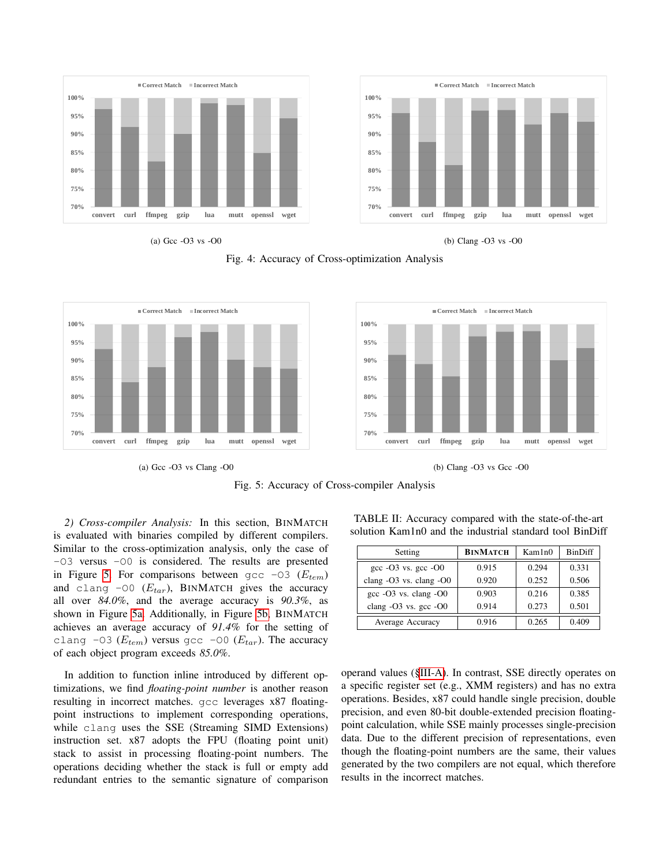<span id="page-6-1"></span><span id="page-6-0"></span>

<span id="page-6-2"></span>Fig. 4: Accuracy of Cross-optimization Analysis

<span id="page-6-4"></span><span id="page-6-3"></span>

(a) Gcc -O3 vs Clang -O0

(b) Clang -O3 vs Gcc -O0

Fig. 5: Accuracy of Cross-compiler Analysis

*2) Cross-compiler Analysis:* In this section, BINMATCH is evaluated with binaries compiled by different compilers. Similar to the cross-optimization analysis, only the case of -O3 versus -O0 is considered. The results are presented in Figure [5.](#page-6-3) For comparisons between gcc  $-03$  ( $E_{tem}$ ) and clang -00  $(E_{tar})$ , BINMATCH gives the accuracy all over *84.0%*, and the average accuracy is *90.3%*, as shown in Figure [5a.](#page-6-4) Additionally, in Figure [5b,](#page-6-5) BINMATCH achieves an average accuracy of *91.4%* for the setting of clang -03 ( $E_{tem}$ ) versus gcc -00 ( $E_{tar}$ ). The accuracy of each object program exceeds *85.0%*.

In addition to function inline introduced by different optimizations, we find *floating-point number* is another reason resulting in incorrect matches. gcc leverages x87 floatingpoint instructions to implement corresponding operations, while clang uses the SSE (Streaming SIMD Extensions) instruction set. x87 adopts the FPU (floating point unit) stack to assist in processing floating-point numbers. The operations deciding whether the stack is full or empty add redundant entries to the semantic signature of comparison

<span id="page-6-6"></span><span id="page-6-5"></span>TABLE II: Accuracy compared with the state-of-the-art solution Kam1n0 and the industrial standard tool BinDiff

| Setting                     | <b>BINMATCH</b> | Kam1n0 | <b>BinDiff</b> |
|-----------------------------|-----------------|--------|----------------|
| gcc $-03$ vs. gcc $-00$     | 0.915           | 0.294  | 0.331          |
| clang $-O3$ vs. clang $-O0$ | 0.920           | 0.252  | 0.506          |
| gcc -O3 vs. clang -O0       | 0.903           | 0.216  | 0.385          |
| clang $-O3$ vs. gcc $-O0$   | 0.914           | 0.273  | 0.501          |
| Average Accuracy            | 0.916           | 0.265  | 0.409          |

operand values ([§III-A\)](#page-2-1). In contrast, SSE directly operates on a specific register set (e.g., XMM registers) and has no extra operations. Besides, x87 could handle single precision, double precision, and even 80-bit double-extended precision floatingpoint calculation, while SSE mainly processes single-precision data. Due to the different precision of representations, even though the floating-point numbers are the same, their values generated by the two compilers are not equal, which therefore results in the incorrect matches.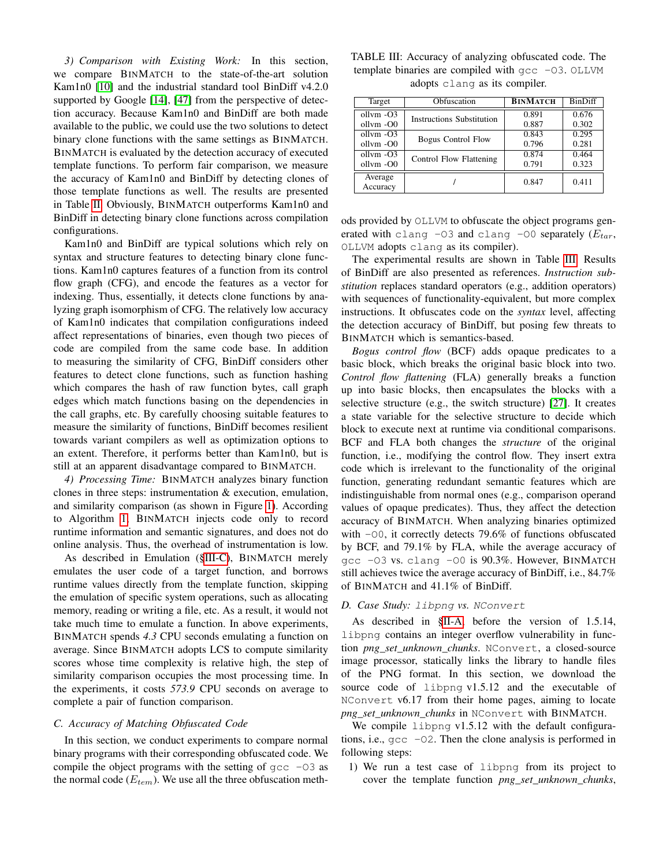*3) Comparison with Existing Work:* In this section, we compare BINMATCH to the state-of-the-art solution Kam1n0 [\[10\]](#page-9-6) and the industrial standard tool BinDiff v4.2.0 supported by Google [\[14\]](#page-9-11), [\[47\]](#page-10-16) from the perspective of detection accuracy. Because Kam1n0 and BinDiff are both made available to the public, we could use the two solutions to detect binary clone functions with the same settings as BINMATCH. BINMATCH is evaluated by the detection accuracy of executed template functions. To perform fair comparison, we measure the accuracy of Kam1n0 and BinDiff by detecting clones of those template functions as well. The results are presented in Table [II.](#page-6-6) Obviously, BINMATCH outperforms Kam1n0 and BinDiff in detecting binary clone functions across compilation configurations.

Kam1n0 and BinDiff are typical solutions which rely on syntax and structure features to detecting binary clone functions. Kam1n0 captures features of a function from its control flow graph (CFG), and encode the features as a vector for indexing. Thus, essentially, it detects clone functions by analyzing graph isomorphism of CFG. The relatively low accuracy of Kam1n0 indicates that compilation configurations indeed affect representations of binaries, even though two pieces of code are compiled from the same code base. In addition to measuring the similarity of CFG, BinDiff considers other features to detect clone functions, such as function hashing which compares the hash of raw function bytes, call graph edges which match functions basing on the dependencies in the call graphs, etc. By carefully choosing suitable features to measure the similarity of functions, BinDiff becomes resilient towards variant compilers as well as optimization options to an extent. Therefore, it performs better than Kam1n0, but is still at an apparent disadvantage compared to BINMATCH.

*4) Processing Time:* BINMATCH analyzes binary function clones in three steps: instrumentation & execution, emulation, and similarity comparison (as shown in Figure [1\)](#page-2-0). According to Algorithm [1,](#page-2-4) BINMATCH injects code only to record runtime information and semantic signatures, and does not do online analysis. Thus, the overhead of instrumentation is low.

As described in Emulation ([§III-C\)](#page-2-3), BINMATCH merely emulates the user code of a target function, and borrows runtime values directly from the template function, skipping the emulation of specific system operations, such as allocating memory, reading or writing a file, etc. As a result, it would not take much time to emulate a function. In above experiments, BINMATCH spends *4.3* CPU seconds emulating a function on average. Since BINMATCH adopts LCS to compute similarity scores whose time complexity is relative high, the step of similarity comparison occupies the most processing time. In the experiments, it costs *573.9* CPU seconds on average to complete a pair of function comparison.

#### <span id="page-7-0"></span>*C. Accuracy of Matching Obfuscated Code*

In this section, we conduct experiments to compare normal binary programs with their corresponding obfuscated code. We compile the object programs with the setting of  $qcc -03$  as the normal code  $(E_{tem})$ . We use all the three obfuscation meth-

<span id="page-7-2"></span>TABLE III: Accuracy of analyzing obfuscated code. The template binaries are compiled with gcc -03. OLLVM adopts clang as its compiler.

| Target       | Obfuscation                      | <b>BINMATCH</b> | <b>BinDiff</b> |
|--------------|----------------------------------|-----------------|----------------|
| $ollvm -O3$  | <b>Instructions Substitution</b> | 0.891           | 0.676          |
| ollym -O0    |                                  | 0.887           | 0.302          |
| $ollvm - O3$ | <b>Bogus Control Flow</b>        | 0.843           | 0.295          |
| ollym -O0    |                                  | 0.796           | 0.281          |
| $ollvm -O3$  | Control Flow Flattening          | 0.874           | 0.464          |
| ollym -O0    |                                  | 0.791           | 0.323          |
| Average      |                                  | 0.847           | 0.411          |
| Accuracy     |                                  |                 |                |

ods provided by OLLVM to obfuscate the object programs generated with clang -03 and clang -00 separately  $(E_{tar},$ OLLVM adopts clang as its compiler).

The experimental results are shown in Table [III.](#page-7-2) Results of BinDiff are also presented as references. *Instruction substitution* replaces standard operators (e.g., addition operators) with sequences of functionality-equivalent, but more complex instructions. It obfuscates code on the *syntax* level, affecting the detection accuracy of BinDiff, but posing few threats to BINMATCH which is semantics-based.

*Bogus control flow* (BCF) adds opaque predicates to a basic block, which breaks the original basic block into two. *Control flow flattening* (FLA) generally breaks a function up into basic blocks, then encapsulates the blocks with a selective structure (e.g., the switch structure) [\[27\]](#page-10-17). It creates a state variable for the selective structure to decide which block to execute next at runtime via conditional comparisons. BCF and FLA both changes the *structure* of the original function, i.e., modifying the control flow. They insert extra code which is irrelevant to the functionality of the original function, generating redundant semantic features which are indistinguishable from normal ones (e.g., comparison operand values of opaque predicates). Thus, they affect the detection accuracy of BINMATCH. When analyzing binaries optimized with  $-00$ , it correctly detects 79.6% of functions obfuscated by BCF, and 79.1% by FLA, while the average accuracy of gcc -O3 vs. clang -O0 is 90.3%. However, BINMATCH still achieves twice the average accuracy of BinDiff, i.e., 84.7% of BINMATCH and 41.1% of BinDiff.

# <span id="page-7-1"></span>*D. Case Study:* libpng *vs.* NConvert

As described in [§II-A,](#page-1-0) before the version of 1.5.14, libpng contains an integer overflow vulnerability in function *png\_set\_unknown\_chunks*. NConvert, a closed-source image processor, statically links the library to handle files of the PNG format. In this section, we download the source code of libpng v1.5.12 and the executable of NConvert v6.17 from their home pages, aiming to locate *png\_set\_unknown\_chunks* in NConvert with BINMATCH.

We compile libpng v1.5.12 with the default configurations, i.e., gcc -O2. Then the clone analysis is performed in following steps:

1) We run a test case of libpng from its project to cover the template function *png\_set\_unknown\_chunks*,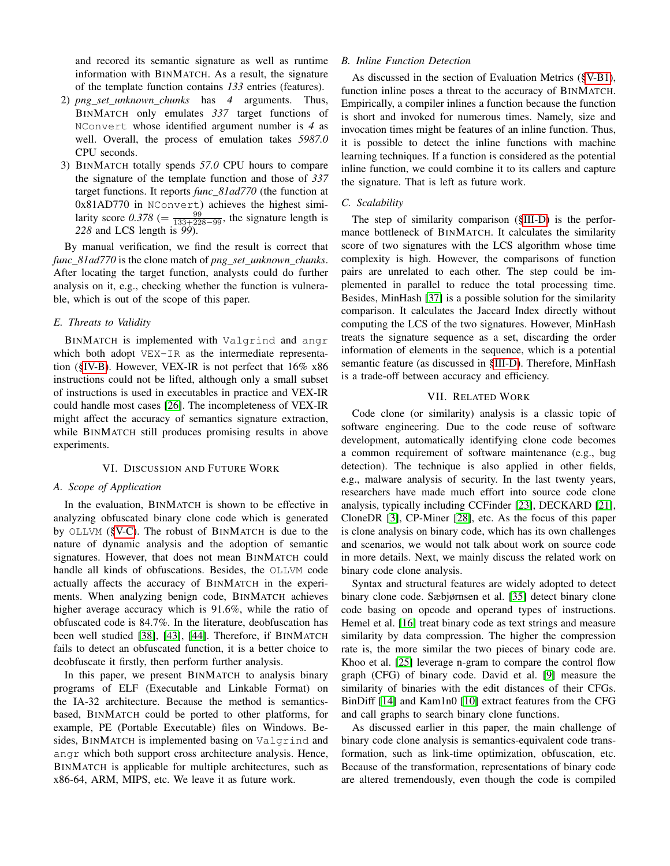and recored its semantic signature as well as runtime information with BINMATCH. As a result, the signature of the template function contains *133* entries (features).

- 2) *png\_set\_unknown\_chunks* has *4* arguments. Thus, BINMATCH only emulates *337* target functions of NConvert whose identified argument number is *4* as well. Overall, the process of emulation takes *5987.0* CPU seconds.
- 3) BINMATCH totally spends *57.0* CPU hours to compare the signature of the template function and those of *337* target functions. It reports *func\_81ad770* (the function at 0x81AD770 in NConvert) achieves the highest similarity score  $0.378$  (=  $\frac{99}{133+228-99}$ , the signature length is *228* and LCS length is *99*).

By manual verification, we find the result is correct that *func\_81ad770* is the clone match of *png\_set\_unknown\_chunks*. After locating the target function, analysts could do further analysis on it, e.g., checking whether the function is vulnerable, which is out of the scope of this paper.

# *E. Threats to Validity*

BINMATCH is implemented with Valgrind and angr which both adopt VEX-IR as the intermediate representation ([§IV-B\)](#page-4-2). However, VEX-IR is not perfect that 16% x86 instructions could not be lifted, although only a small subset of instructions is used in executables in practice and VEX-IR could handle most cases [\[26\]](#page-10-18). The incompleteness of VEX-IR might affect the accuracy of semantics signature extraction, while BINMATCH still produces promising results in above experiments.

# VI. DISCUSSION AND FUTURE WORK

#### *A. Scope of Application*

In the evaluation, BINMATCH is shown to be effective in analyzing obfuscated binary clone code which is generated by OLLVM ([§V-C\)](#page-7-0). The robust of BINMATCH is due to the nature of dynamic analysis and the adoption of semantic signatures. However, that does not mean BINMATCH could handle all kinds of obfuscations. Besides, the OLLVM code actually affects the accuracy of BINMATCH in the experiments. When analyzing benign code, BINMATCH achieves higher average accuracy which is 91.6%, while the ratio of obfuscated code is 84.7%. In the literature, deobfuscation has been well studied [\[38\]](#page-10-19), [\[43\]](#page-10-20), [\[44\]](#page-10-21). Therefore, if BINMATCH fails to detect an obfuscated function, it is a better choice to deobfuscate it firstly, then perform further analysis.

In this paper, we present BINMATCH to analysis binary programs of ELF (Executable and Linkable Format) on the IA-32 architecture. Because the method is semanticsbased, BINMATCH could be ported to other platforms, for example, PE (Portable Executable) files on Windows. Besides, BINMATCH is implemented basing on Valgrind and angr which both support cross architecture analysis. Hence, BINMATCH is applicable for multiple architectures, such as x86-64, ARM, MIPS, etc. We leave it as future work.

# *B. Inline Function Detection*

As discussed in the section of Evaluation Metrics ([§V-B1\)](#page-5-2), function inline poses a threat to the accuracy of BINMATCH. Empirically, a compiler inlines a function because the function is short and invoked for numerous times. Namely, size and invocation times might be features of an inline function. Thus, it is possible to detect the inline functions with machine learning techniques. If a function is considered as the potential inline function, we could combine it to its callers and capture the signature. That is left as future work.

## *C. Scalability*

The step of similarity comparison ([§III-D\)](#page-4-0) is the performance bottleneck of BINMATCH. It calculates the similarity score of two signatures with the LCS algorithm whose time complexity is high. However, the comparisons of function pairs are unrelated to each other. The step could be implemented in parallel to reduce the total processing time. Besides, MinHash [\[37\]](#page-10-22) is a possible solution for the similarity comparison. It calculates the Jaccard Index directly without computing the LCS of the two signatures. However, MinHash treats the signature sequence as a set, discarding the order information of elements in the sequence, which is a potential semantic feature (as discussed in [§III-D\)](#page-4-0). Therefore, MinHash is a trade-off between accuracy and efficiency.

# VII. RELATED WORK

Code clone (or similarity) analysis is a classic topic of software engineering. Due to the code reuse of software development, automatically identifying clone code becomes a common requirement of software maintenance (e.g., bug detection). The technique is also applied in other fields, e.g., malware analysis of security. In the last twenty years, researchers have made much effort into source code clone analysis, typically including CCFinder [\[23\]](#page-10-23), DECKARD [\[21\]](#page-10-24), CloneDR [\[3\]](#page-9-12), CP-Miner [\[28\]](#page-10-25), etc. As the focus of this paper is clone analysis on binary code, which has its own challenges and scenarios, we would not talk about work on source code in more details. Next, we mainly discuss the related work on binary code clone analysis.

Syntax and structural features are widely adopted to detect binary clone code. Sæbjørnsen et al. [\[35\]](#page-10-26) detect binary clone code basing on opcode and operand types of instructions. Hemel et al. [\[16\]](#page-9-13) treat binary code as text strings and measure similarity by data compression. The higher the compression rate is, the more similar the two pieces of binary code are. Khoo et al. [\[25\]](#page-10-27) leverage n-gram to compare the control flow graph (CFG) of binary code. David et al. [\[9\]](#page-9-14) measure the similarity of binaries with the edit distances of their CFGs. BinDiff [\[14\]](#page-9-11) and Kam1n0 [\[10\]](#page-9-6) extract features from the CFG and call graphs to search binary clone functions.

As discussed earlier in this paper, the main challenge of binary code clone analysis is semantics-equivalent code transformation, such as link-time optimization, obfuscation, etc. Because of the transformation, representations of binary code are altered tremendously, even though the code is compiled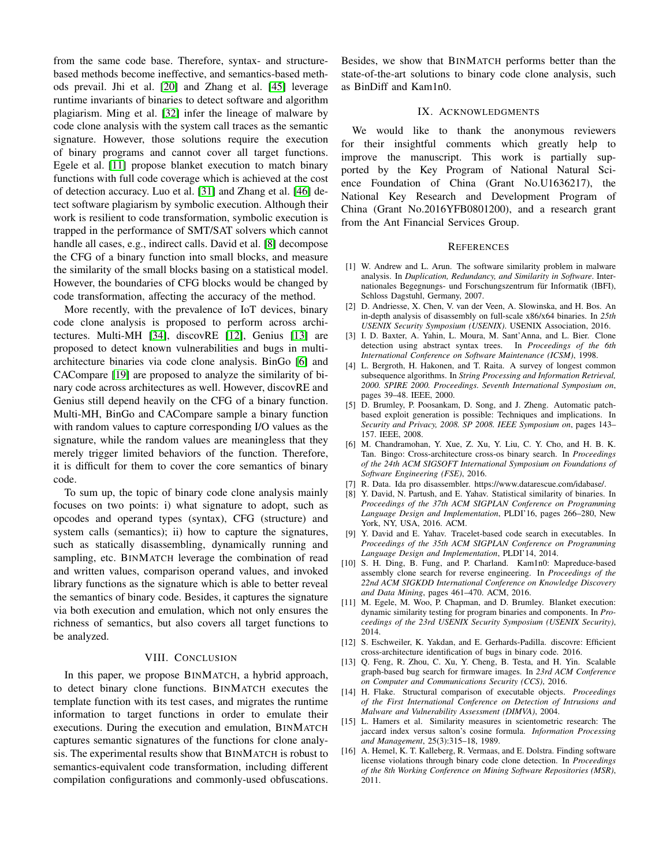from the same code base. Therefore, syntax- and structurebased methods become ineffective, and semantics-based methods prevail. Jhi et al. [\[20\]](#page-10-0) and Zhang et al. [\[45\]](#page-10-1) leverage runtime invariants of binaries to detect software and algorithm plagiarism. Ming et al. [\[32\]](#page-10-3) infer the lineage of malware by code clone analysis with the system call traces as the semantic signature. However, those solutions require the execution of binary programs and cannot cover all target functions. Egele et al. [\[11\]](#page-9-5) propose blanket execution to match binary functions with full code coverage which is achieved at the cost of detection accuracy. Luo et al. [\[31\]](#page-10-28) and Zhang et al. [\[46\]](#page-10-29) detect software plagiarism by symbolic execution. Although their work is resilient to code transformation, symbolic execution is trapped in the performance of SMT/SAT solvers which cannot handle all cases, e.g., indirect calls. David et al. [\[8\]](#page-9-15) decompose the CFG of a binary function into small blocks, and measure the similarity of the small blocks basing on a statistical model. However, the boundaries of CFG blocks would be changed by code transformation, affecting the accuracy of the method.

More recently, with the prevalence of IoT devices, binary code clone analysis is proposed to perform across architectures. Multi-MH [\[34\]](#page-10-5), discovRE [\[12\]](#page-9-3), Genius [\[13\]](#page-9-4) are proposed to detect known vulnerabilities and bugs in multiarchitecture binaries via code clone analysis. BinGo [\[6\]](#page-9-1) and CACompare [\[19\]](#page-10-30) are proposed to analyze the similarity of binary code across architectures as well. However, discovRE and Genius still depend heavily on the CFG of a binary function. Multi-MH, BinGo and CACompare sample a binary function with random values to capture corresponding I/O values as the signature, while the random values are meaningless that they merely trigger limited behaviors of the function. Therefore, it is difficult for them to cover the core semantics of binary code.

To sum up, the topic of binary code clone analysis mainly focuses on two points: i) what signature to adopt, such as opcodes and operand types (syntax), CFG (structure) and system calls (semantics); ii) how to capture the signatures, such as statically disassembling, dynamically running and sampling, etc. BINMATCH leverage the combination of read and written values, comparison operand values, and invoked library functions as the signature which is able to better reveal the semantics of binary code. Besides, it captures the signature via both execution and emulation, which not only ensures the richness of semantics, but also covers all target functions to be analyzed.

#### VIII. CONCLUSION

In this paper, we propose BINMATCH, a hybrid approach, to detect binary clone functions. BINMATCH executes the template function with its test cases, and migrates the runtime information to target functions in order to emulate their executions. During the execution and emulation, BINMATCH captures semantic signatures of the functions for clone analysis. The experimental results show that BINMATCH is robust to semantics-equivalent code transformation, including different compilation configurations and commonly-used obfuscations.

Besides, we show that BINMATCH performs better than the state-of-the-art solutions to binary code clone analysis, such as BinDiff and Kam1n0.

#### IX. ACKNOWLEDGMENTS

We would like to thank the anonymous reviewers for their insightful comments which greatly help to improve the manuscript. This work is partially supported by the Key Program of National Natural Science Foundation of China (Grant No.U1636217), the National Key Research and Development Program of China (Grant No.2016YFB0801200), and a research grant from the Ant Financial Services Group.

#### **REFERENCES**

- <span id="page-9-2"></span>[1] W. Andrew and L. Arun. The software similarity problem in malware analysis. In *Duplication, Redundancy, and Similarity in Software*. Internationales Begegnungs- und Forschungszentrum für Informatik (IBFI), Schloss Dagstuhl, Germany, 2007.
- <span id="page-9-10"></span>[2] D. Andriesse, X. Chen, V. van der Veen, A. Slowinska, and H. Bos. An in-depth analysis of disassembly on full-scale x86/x64 binaries. In *25th USENIX Security Symposium (USENIX)*. USENIX Association, 2016.
- <span id="page-9-12"></span>[3] I. D. Baxter, A. Yahin, L. Moura, M. Sant'Anna, and L. Bier. Clone detection using abstract syntax trees. In *Proceedings of the 6th International Conference on Software Maintenance (ICSM)*, 1998.
- <span id="page-9-7"></span>[4] L. Bergroth, H. Hakonen, and T. Raita. A survey of longest common subsequence algorithms. In *String Processing and Information Retrieval, 2000. SPIRE 2000. Proceedings. Seventh International Symposium on*, pages 39–48. IEEE, 2000.
- <span id="page-9-0"></span>[5] D. Brumley, P. Poosankam, D. Song, and J. Zheng. Automatic patchbased exploit generation is possible: Techniques and implications. In *Security and Privacy, 2008. SP 2008. IEEE Symposium on*, pages 143– 157. IEEE, 2008.
- <span id="page-9-1"></span>[6] M. Chandramohan, Y. Xue, Z. Xu, Y. Liu, C. Y. Cho, and H. B. K. Tan. Bingo: Cross-architecture cross-os binary search. In *Proceedings of the 24th ACM SIGSOFT International Symposium on Foundations of Software Engineering (FSE)*, 2016.
- <span id="page-9-9"></span>[7] R. Data. Ida pro disassembler. https://www.datarescue.com/idabase/.
- <span id="page-9-15"></span>[8] Y. David, N. Partush, and E. Yahav. Statistical similarity of binaries. In *Proceedings of the 37th ACM SIGPLAN Conference on Programming Language Design and Implementation*, PLDI'16, pages 266–280, New York, NY, USA, 2016. ACM.
- <span id="page-9-14"></span>[9] Y. David and E. Yahav. Tracelet-based code search in executables. In *Proceedings of the 35th ACM SIGPLAN Conference on Programming Language Design and Implementation*, PLDI'14, 2014.
- <span id="page-9-6"></span>[10] S. H. Ding, B. Fung, and P. Charland. Kam1n0: Mapreduce-based assembly clone search for reverse engineering. In *Proceedings of the 22nd ACM SIGKDD International Conference on Knowledge Discovery and Data Mining*, pages 461–470. ACM, 2016.
- <span id="page-9-5"></span>[11] M. Egele, M. Woo, P. Chapman, and D. Brumley. Blanket execution: dynamic similarity testing for program binaries and components. In *Proceedings of the 23rd USENIX Security Symposium (USENIX Security)*, 2014.
- <span id="page-9-3"></span>[12] S. Eschweiler, K. Yakdan, and E. Gerhards-Padilla. discovre: Efficient cross-architecture identification of bugs in binary code. 2016.
- <span id="page-9-4"></span>[13] Q. Feng, R. Zhou, C. Xu, Y. Cheng, B. Testa, and H. Yin. Scalable graph-based bug search for firmware images. In *23rd ACM Conference on Computer and Communications Security (CCS)*, 2016.
- <span id="page-9-11"></span>[14] H. Flake. Structural comparison of executable objects. *Proceedings of the First International Conference on Detection of Intrusions and Malware and Vulnerability Assessment (DIMVA)*, 2004.
- <span id="page-9-8"></span>[15] L. Hamers et al. Similarity measures in scientometric research: The jaccard index versus salton's cosine formula. *Information Processing and Management*, 25(3):315–18, 1989.
- <span id="page-9-13"></span>[16] A. Hemel, K. T. Kalleberg, R. Vermaas, and E. Dolstra. Finding software license violations through binary code clone detection. In *Proceedings of the 8th Working Conference on Mining Software Repositories (MSR)*, 2011.